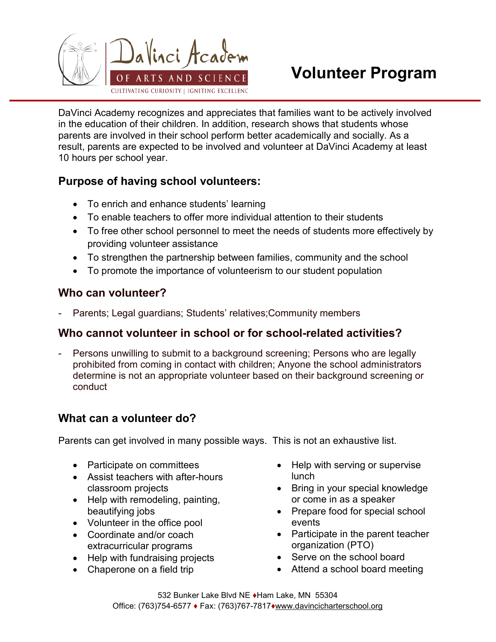

# Volunteer Program

DaVinci Academy recognizes and appreciates that families want to be actively involved in the education of their children. In addition, research shows that students whose parents are involved in their school perform better academically and socially. As a result, parents are expected to be involved and volunteer at DaVinci Academy at least 10 hours per school year.

## Purpose of having school volunteers:

- To enrich and enhance students' learning
- To enable teachers to offer more individual attention to their students
- To free other school personnel to meet the needs of students more effectively by providing volunteer assistance
- To strengthen the partnership between families, community and the school
- To promote the importance of volunteerism to our student population

#### Who can volunteer?

Parents; Legal guardians; Students' relatives; Community members

#### Who cannot volunteer in school or for school-related activities?

Persons unwilling to submit to a background screening; Persons who are legally prohibited from coming in contact with children; Anyone the school administrators determine is not an appropriate volunteer based on their background screening or conduct

## What can a volunteer do?

Parents can get involved in many possible ways. This is not an exhaustive list.

- Participate on committees
- Assist teachers with after-hours classroom projects
- Help with remodeling, painting, beautifying jobs
- Volunteer in the office pool
- Coordinate and/or coach extracurricular programs
- Help with fundraising projects
- Chaperone on a field trip
- Help with serving or supervise lunch
- Bring in your special knowledge or come in as a speaker
- Prepare food for special school events
- Participate in the parent teacher organization (PTO)
- Serve on the school board
- Attend a school board meeting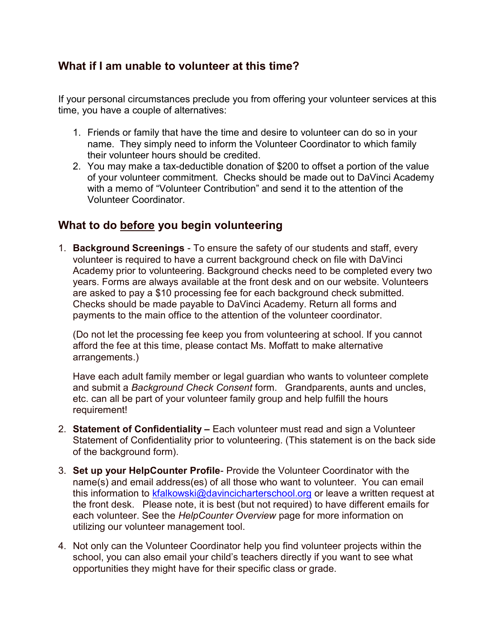#### What if I am unable to volunteer at this time?

If your personal circumstances preclude you from offering your volunteer services at this time, you have a couple of alternatives:

- 1. Friends or family that have the time and desire to volunteer can do so in your name. They simply need to inform the Volunteer Coordinator to which family their volunteer hours should be credited.
- 2. You may make a tax-deductible donation of \$200 to offset a portion of the value of your volunteer commitment. Checks should be made out to DaVinci Academy with a memo of "Volunteer Contribution" and send it to the attention of the Volunteer Coordinator.

#### What to do before you begin volunteering

1. Background Screenings - To ensure the safety of our students and staff, every volunteer is required to have a current background check on file with DaVinci Academy prior to volunteering. Background checks need to be completed every two years. Forms are always available at the front desk and on our website. Volunteers are asked to pay a \$10 processing fee for each background check submitted. Checks should be made payable to DaVinci Academy. Return all forms and payments to the main office to the attention of the volunteer coordinator.

(Do not let the processing fee keep you from volunteering at school. If you cannot afford the fee at this time, please contact Ms. Moffatt to make alternative arrangements.)

Have each adult family member or legal guardian who wants to volunteer complete and submit a Background Check Consent form. Grandparents, aunts and uncles, etc. can all be part of your volunteer family group and help fulfill the hours requirement!

- 2. Statement of Confidentiality Each volunteer must read and sign a Volunteer Statement of Confidentiality prior to volunteering. (This statement is on the back side of the background form).
- 3. Set up your HelpCounter Profile- Provide the Volunteer Coordinator with the name(s) and email address(es) of all those who want to volunteer. You can email this information to kfalkowski@davincicharterschool.org or leave a written request at the front desk. Please note, it is best (but not required) to have different emails for each volunteer. See the HelpCounter Overview page for more information on utilizing our volunteer management tool.
- 4. Not only can the Volunteer Coordinator help you find volunteer projects within the school, you can also email your child's teachers directly if you want to see what opportunities they might have for their specific class or grade.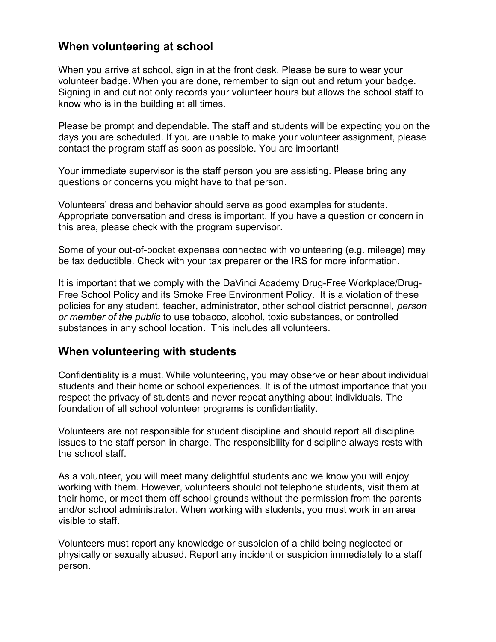#### When volunteering at school

When you arrive at school, sign in at the front desk. Please be sure to wear your volunteer badge. When you are done, remember to sign out and return your badge. Signing in and out not only records your volunteer hours but allows the school staff to know who is in the building at all times.

Please be prompt and dependable. The staff and students will be expecting you on the days you are scheduled. If you are unable to make your volunteer assignment, please contact the program staff as soon as possible. You are important!

Your immediate supervisor is the staff person you are assisting. Please bring any questions or concerns you might have to that person.

Volunteers' dress and behavior should serve as good examples for students. Appropriate conversation and dress is important. If you have a question or concern in this area, please check with the program supervisor.

Some of your out-of-pocket expenses connected with volunteering (e.g. mileage) may be tax deductible. Check with your tax preparer or the IRS for more information.

It is important that we comply with the DaVinci Academy Drug-Free Workplace/Drug-Free School Policy and its Smoke Free Environment Policy. It is a violation of these policies for any student, teacher, administrator, other school district personnel, person or member of the public to use tobacco, alcohol, toxic substances, or controlled substances in any school location. This includes all volunteers.

#### When volunteering with students

Confidentiality is a must. While volunteering, you may observe or hear about individual students and their home or school experiences. It is of the utmost importance that you respect the privacy of students and never repeat anything about individuals. The foundation of all school volunteer programs is confidentiality.

Volunteers are not responsible for student discipline and should report all discipline issues to the staff person in charge. The responsibility for discipline always rests with the school staff.

As a volunteer, you will meet many delightful students and we know you will enjoy working with them. However, volunteers should not telephone students, visit them at their home, or meet them off school grounds without the permission from the parents and/or school administrator. When working with students, you must work in an area visible to staff.

Volunteers must report any knowledge or suspicion of a child being neglected or physically or sexually abused. Report any incident or suspicion immediately to a staff person.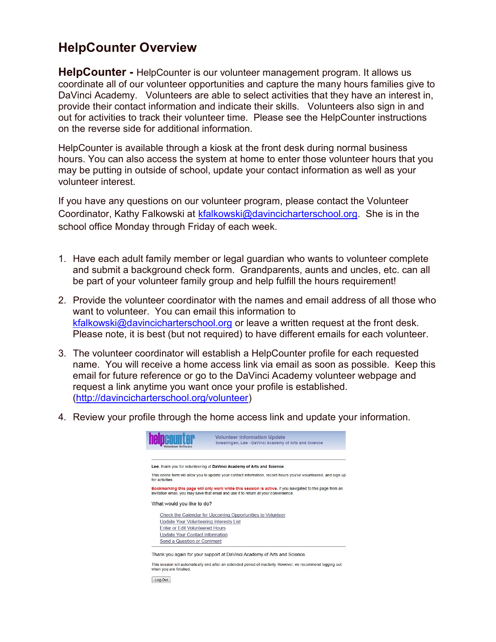# HelpCounter Overview

**HelpCounter -** HelpCounter is our volunteer management program. It allows us coordinate all of our volunteer opportunities and capture the many hours families give to DaVinci Academy. Volunteers are able to select activities that they have an interest in, provide their contact information and indicate their skills. Volunteers also sign in and out for activities to track their volunteer time. Please see the HelpCounter instructions on the reverse side for additional information.

HelpCounter is available through a kiosk at the front desk during normal business hours. You can also access the system at home to enter those volunteer hours that you may be putting in outside of school, update your contact information as well as your volunteer interest.

If you have any questions on our volunteer program, please contact the Volunteer Coordinator, Kathy Falkowski at kfalkowski@davincicharterschool.org. She is in the school office Monday through Friday of each week.

- 1. Have each adult family member or legal guardian who wants to volunteer complete and submit a background check form. Grandparents, aunts and uncles, etc. can all be part of your volunteer family group and help fulfill the hours requirement!
- 2. Provide the volunteer coordinator with the names and email address of all those who want to volunteer. You can email this information to kfalkowski@davincicharterschool.org or leave a written request at the front desk. Please note, it is best (but not required) to have different emails for each volunteer.
- 3. The volunteer coordinator will establish a HelpCounter profile for each requested name. You will receive a home access link via email as soon as possible. Keep this email for future reference or go to the DaVinci Academy volunteer webpage and request a link anytime you want once your profile is established. (http://davincicharterschool.org/volunteer)
- 4. Review your profile through the home access link and update your information.

|                                         | <b>Volunteer Information Update</b><br>Swearingen, Lee - DaVinci Academy of Arts and Science                                                                                                    |
|-----------------------------------------|-------------------------------------------------------------------------------------------------------------------------------------------------------------------------------------------------|
|                                         | Lee, thank you for volunteering at DaVinci Academy of Arts and Science.                                                                                                                         |
| for activities                          | This online form will allow you to update your contact information, record hours you've volunteered, and sign up                                                                                |
|                                         |                                                                                                                                                                                                 |
|                                         | Bookmarking this page will only work while this session is active. If you navigated to this page from an<br>invitation email, you may save that email and use it to return at your convenience. |
| What would you like to do?              |                                                                                                                                                                                                 |
|                                         | Check the Calendar for Upcoming Opportunities to Volunteer                                                                                                                                      |
| Update Your Volunteering Interests List |                                                                                                                                                                                                 |
| Enter or Edit Volunteered Hours         |                                                                                                                                                                                                 |
| Update Your Contact Information         |                                                                                                                                                                                                 |

sion will automatically end after an extended period of inactivity. However, we recommend logging out when you are finished

Log Out